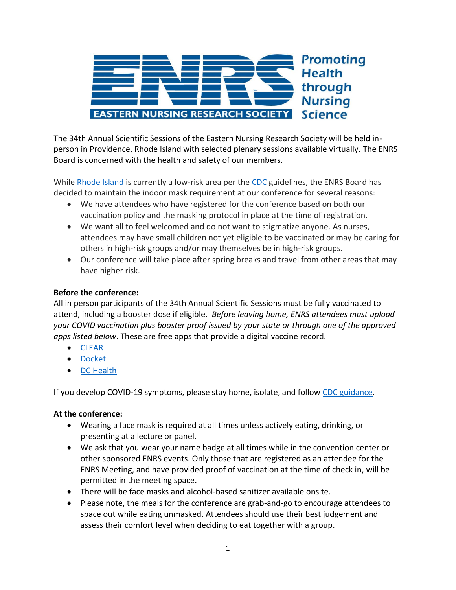

The 34th Annual Scientific Sessions of the Eastern Nursing Research Society will be held inperson in Providence, Rhode Island with selected plenary sessions available virtually. The ENRS Board is concerned with the health and safety of our members.

While [Rhode Island](https://covid.ri.gov/covid-19-prevention/wearing-masks#:~:text=RIDOH%20recommends%20wearing%20a%20high,breathe%20pass%20in%20and%20out.) is currently a low-risk area per the [CDC](https://www.cdc.gov/coronavirus/2019-ncov/prevent-getting-sick/about-face-coverings.html) guidelines, the ENRS Board has decided to maintain the indoor mask requirement at our conference for several reasons:

- We have attendees who have registered for the conference based on both our vaccination policy and the masking protocol in place at the time of registration.
- We want all to feel welcomed and do not want to stigmatize anyone. As nurses, attendees may have small children not yet eligible to be vaccinated or may be caring for others in high-risk groups and/or may themselves be in high-risk groups.
- Our conference will take place after spring breaks and travel from other areas that may have higher risk.

## **Before the conference:**

All in person participants of the 34th Annual Scientific Sessions must be fully vaccinated to attend, including a booster dose if eligible. *Before leaving home, ENRS attendees must upload your COVID vaccination plus booster proof issued by your state or through one of the approved apps listed below*. These are free apps that provide a digital vaccine record.

- [CLEAR](https://www.clearme.com/vaccine-validation)
- [Docket](https://apps.apple.com/us/app/docket-immunization-records/id1117444284)
- [DC Health](https://vaccinerecord.dc.gov/)

If you develop COVID-19 symptoms, please stay home, isolate, and follow [CDC guidance.](https://www.cdc.gov/coronavirus/2019-ncov/your-health/quarantine-isolation.html?s_cid=11722:variant%20symptoms%20cdc:sem.ga:p:RG:GM:gen:PTN:FY22)

## **At the conference:**

- Wearing a face mask is required at all times unless actively eating, drinking, or presenting at a lecture or panel.
- We ask that you wear your name badge at all times while in the convention center or other sponsored ENRS events. Only those that are registered as an attendee for the ENRS Meeting, and have provided proof of vaccination at the time of check in, will be permitted in the meeting space.
- There will be face masks and alcohol-based sanitizer available onsite.
- Please note, the meals for the conference are grab-and-go to encourage attendees to space out while eating unmasked. Attendees should use their best judgement and assess their comfort level when deciding to eat together with a group.